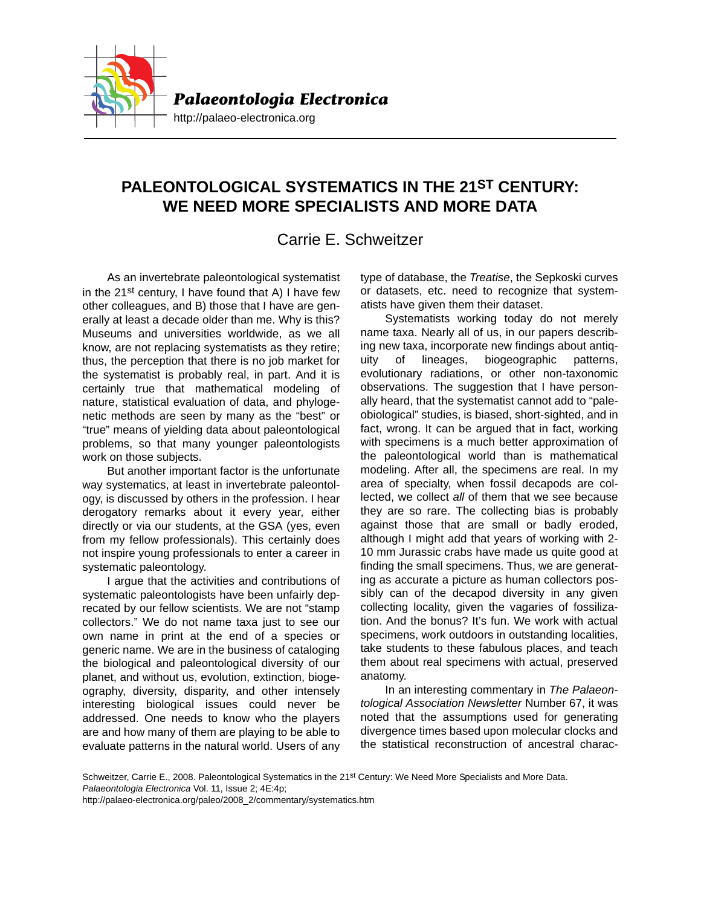

## **PALEONTOLOGICAL SYSTEMATICS IN THE 21ST CENTURY: WE NEED MORE SPECIALISTS AND MORE DATA**

## Carrie E. Schweitzer

As an invertebrate paleontological systematist in the 21st century, I have found that A) I have few other colleagues, and B) those that I have are generally at least a decade older than me. Why is this? Museums and universities worldwide, as we all know, are not replacing systematists as they retire; thus, the perception that there is no job market for the systematist is probably real, in part. And it is certainly true that mathematical modeling of nature, statistical evaluation of data, and phylogenetic methods are seen by many as the "best" or "true" means of yielding data about paleontological problems, so that many younger paleontologists work on those subjects.

But another important factor is the unfortunate way systematics, at least in invertebrate paleontology, is discussed by others in the profession. I hear derogatory remarks about it every year, either directly or via our students, at the GSA (yes, even from my fellow professionals). This certainly does not inspire young professionals to enter a career in systematic paleontology.

I argue that the activities and contributions of systematic paleontologists have been unfairly deprecated by our fellow scientists. We are not "stamp collectors." We do not name taxa just to see our own name in print at the end of a species or generic name. We are in the business of cataloging the biological and paleontological diversity of our planet, and without us, evolution, extinction, biogeography, diversity, disparity, and other intensely interesting biological issues could never be addressed. One needs to know who the players are and how many of them are playing to be able to evaluate patterns in the natural world. Users of any type of database, the *Treatise*, the Sepkoski curves or datasets, etc. need to recognize that systematists have given them their dataset.

Systematists working today do not merely name taxa. Nearly all of us, in our papers describing new taxa, incorporate new findings about antiquity of lineages, biogeographic patterns, evolutionary radiations, or other non-taxonomic observations. The suggestion that I have personally heard, that the systematist cannot add to "paleobiological" studies, is biased, short-sighted, and in fact, wrong. It can be argued that in fact, working with specimens is a much better approximation of the paleontological world than is mathematical modeling. After all, the specimens are real. In my area of specialty, when fossil decapods are collected, we collect *all* of them that we see because they are so rare. The collecting bias is probably against those that are small or badly eroded, although I might add that years of working with 2- 10 mm Jurassic crabs have made us quite good at finding the small specimens. Thus, we are generating as accurate a picture as human collectors possibly can of the decapod diversity in any given collecting locality, given the vagaries of fossilization. And the bonus? It's fun. We work with actual specimens, work outdoors in outstanding localities, take students to these fabulous places, and teach them about real specimens with actual, preserved anatomy.

In an interesting commentary in *The Palaeontological Association Newsletter* Number 67, it was noted that the assumptions used for generating divergence times based upon molecular clocks and the statistical reconstruction of ancestral charac-

Schweitzer, Carrie E., 2008. Paleontological Systematics in the 21st Century: We Need More Specialists and More Data. *Palaeontologia Electronica* Vol. 11, Issue 2; 4E:4p;

http://palaeo-electronica.org/paleo/2008\_2/commentary/systematics.htm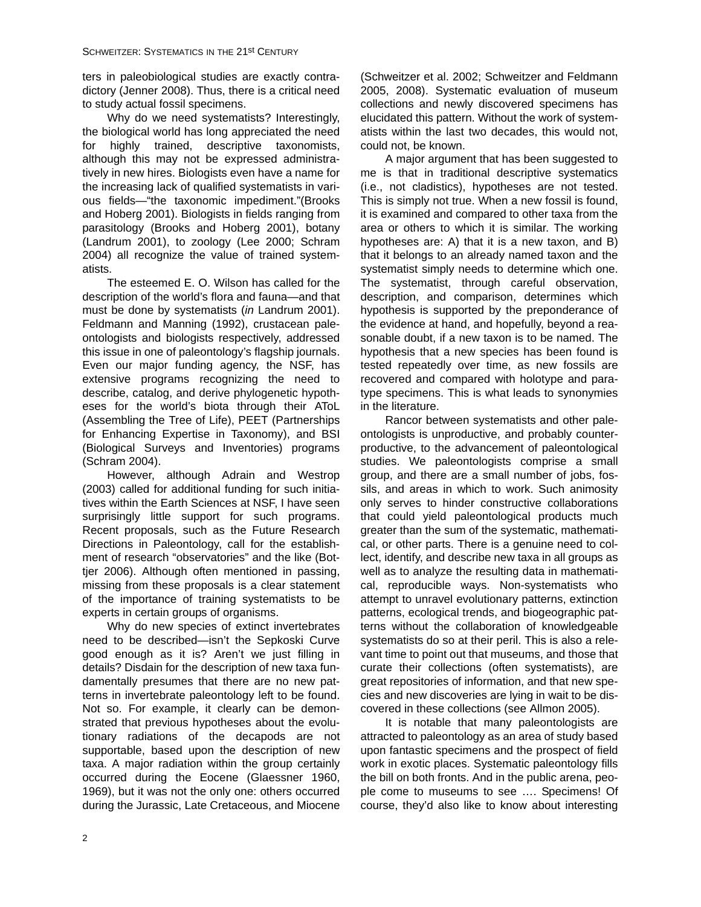ters in paleobiological studies are exactly contradictory (Jenner 2008). Thus, there is a critical need to study actual fossil specimens.

Why do we need systematists? Interestingly, the biological world has long appreciated the need for highly trained, descriptive taxonomists, although this may not be expressed administratively in new hires. Biologists even have a name for the increasing lack of qualified systematists in various fields—"the taxonomic impediment."(Brooks and Hoberg 2001). Biologists in fields ranging from parasitology (Brooks and Hoberg 2001), botany (Landrum 2001), to zoology (Lee 2000; Schram 2004) all recognize the value of trained systematists.

The esteemed E. O. Wilson has called for the description of the world's flora and fauna—and that must be done by systematists (*in* Landrum 2001). Feldmann and Manning (1992), crustacean paleontologists and biologists respectively, addressed this issue in one of paleontology's flagship journals. Even our major funding agency, the NSF, has extensive programs recognizing the need to describe, catalog, and derive phylogenetic hypotheses for the world's biota through their AToL (Assembling the Tree of Life), PEET (Partnerships for Enhancing Expertise in Taxonomy), and BSI (Biological Surveys and Inventories) programs (Schram 2004).

However, although Adrain and Westrop (2003) called for additional funding for such initiatives within the Earth Sciences at NSF, I have seen surprisingly little support for such programs. Recent proposals, such as the Future Research Directions in Paleontology, call for the establishment of research "observatories" and the like (Bottjer 2006). Although often mentioned in passing, missing from these proposals is a clear statement of the importance of training systematists to be experts in certain groups of organisms.

Why do new species of extinct invertebrates need to be described—isn't the Sepkoski Curve good enough as it is? Aren't we just filling in details? Disdain for the description of new taxa fundamentally presumes that there are no new patterns in invertebrate paleontology left to be found. Not so. For example, it clearly can be demonstrated that previous hypotheses about the evolutionary radiations of the decapods are not supportable, based upon the description of new taxa. A major radiation within the group certainly occurred during the Eocene (Glaessner 1960, 1969), but it was not the only one: others occurred during the Jurassic, Late Cretaceous, and Miocene

(Schweitzer et al. 2002; Schweitzer and Feldmann 2005, 2008). Systematic evaluation of museum collections and newly discovered specimens has elucidated this pattern. Without the work of systematists within the last two decades, this would not, could not, be known.

A major argument that has been suggested to me is that in traditional descriptive systematics (i.e., not cladistics), hypotheses are not tested. This is simply not true. When a new fossil is found, it is examined and compared to other taxa from the area or others to which it is similar. The working hypotheses are: A) that it is a new taxon, and B) that it belongs to an already named taxon and the systematist simply needs to determine which one. The systematist, through careful observation, description, and comparison, determines which hypothesis is supported by the preponderance of the evidence at hand, and hopefully, beyond a reasonable doubt, if a new taxon is to be named. The hypothesis that a new species has been found is tested repeatedly over time, as new fossils are recovered and compared with holotype and paratype specimens. This is what leads to synonymies in the literature.

Rancor between systematists and other paleontologists is unproductive, and probably counterproductive, to the advancement of paleontological studies. We paleontologists comprise a small group, and there are a small number of jobs, fossils, and areas in which to work. Such animosity only serves to hinder constructive collaborations that could yield paleontological products much greater than the sum of the systematic, mathematical, or other parts. There is a genuine need to collect, identify, and describe new taxa in all groups as well as to analyze the resulting data in mathematical, reproducible ways. Non-systematists who attempt to unravel evolutionary patterns, extinction patterns, ecological trends, and biogeographic patterns without the collaboration of knowledgeable systematists do so at their peril. This is also a relevant time to point out that museums, and those that curate their collections (often systematists), are great repositories of information, and that new species and new discoveries are lying in wait to be discovered in these collections (see Allmon 2005).

It is notable that many paleontologists are attracted to paleontology as an area of study based upon fantastic specimens and the prospect of field work in exotic places. Systematic paleontology fills the bill on both fronts. And in the public arena, people come to museums to see …. Specimens! Of course, they'd also like to know about interesting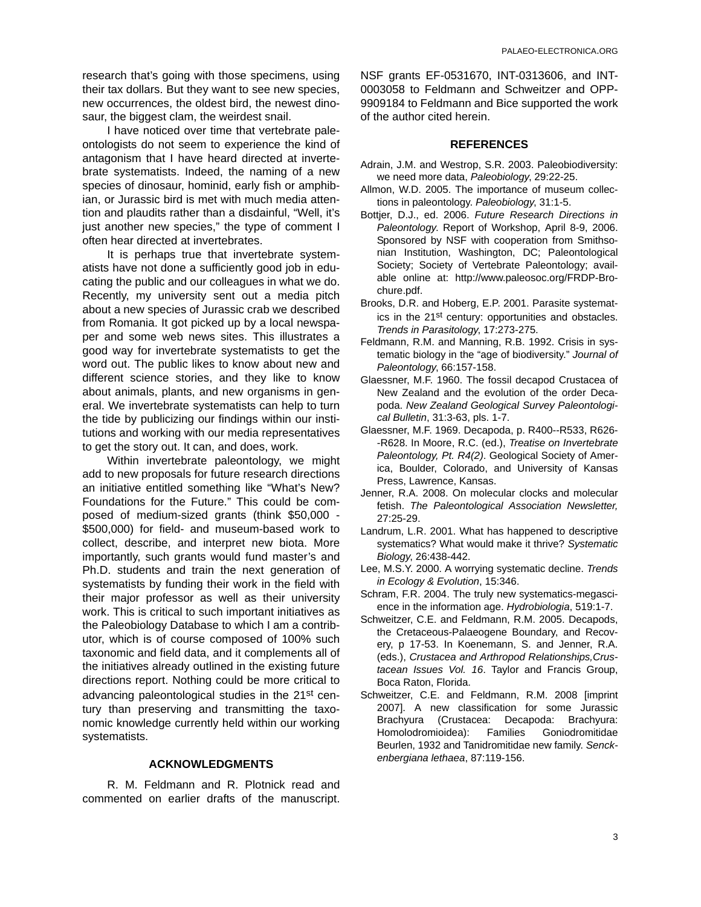research that's going with those specimens, using their tax dollars. But they want to see new species, new occurrences, the oldest bird, the newest dinosaur, the biggest clam, the weirdest snail.

I have noticed over time that vertebrate paleontologists do not seem to experience the kind of antagonism that I have heard directed at invertebrate systematists. Indeed, the naming of a new species of dinosaur, hominid, early fish or amphibian, or Jurassic bird is met with much media attention and plaudits rather than a disdainful, "Well, it's just another new species," the type of comment I often hear directed at invertebrates.

It is perhaps true that invertebrate systematists have not done a sufficiently good job in educating the public and our colleagues in what we do. Recently, my university sent out a media pitch about a new species of Jurassic crab we described from Romania. It got picked up by a local newspaper and some web news sites. This illustrates a good way for invertebrate systematists to get the word out. The public likes to know about new and different science stories, and they like to know about animals, plants, and new organisms in general. We invertebrate systematists can help to turn the tide by publicizing our findings within our institutions and working with our media representatives to get the story out. It can, and does, work.

Within invertebrate paleontology, we might add to new proposals for future research directions an initiative entitled something like "What's New? Foundations for the Future." This could be composed of medium-sized grants (think \$50,000 - \$500,000) for field- and museum-based work to collect, describe, and interpret new biota. More importantly, such grants would fund master's and Ph.D. students and train the next generation of systematists by funding their work in the field with their major professor as well as their university work. This is critical to such important initiatives as the Paleobiology Database to which I am a contributor, which is of course composed of 100% such taxonomic and field data, and it complements all of the initiatives already outlined in the existing future directions report. Nothing could be more critical to advancing paleontological studies in the 21st century than preserving and transmitting the taxonomic knowledge currently held within our working systematists.

## **ACKNOWLEDGMENTS**

R. M. Feldmann and R. Plotnick read and commented on earlier drafts of the manuscript. NSF grants EF-0531670, INT-0313606, and INT-0003058 to Feldmann and Schweitzer and OPP-9909184 to Feldmann and Bice supported the work of the author cited herein.

## **REFERENCES**

- Adrain, J.M. and Westrop, S.R. 2003. Paleobiodiversity: we need more data, *Paleobiology*, 29:22-25.
- Allmon, W.D. 2005. The importance of museum collections in paleontology. *Paleobiology*, 31:1-5.
- Bottjer, D.J., ed. 2006. *Future Research Directions in Paleontology*. Report of Workshop, April 8-9, 2006. Sponsored by NSF with cooperation from Smithsonian Institution, Washington, DC; Paleontological Society; Society of Vertebrate Paleontology; available online at: http://www.paleosoc.org/FRDP-Brochure.pdf.
- Brooks, D.R. and Hoberg, E.P. 2001. Parasite systematics in the 21st century: opportunities and obstacles. *Trends in Parasitology*, 17:273-275.
- Feldmann, R.M. and Manning, R.B. 1992. Crisis in systematic biology in the "age of biodiversity." *Journal of Paleontology*, 66:157-158.
- Glaessner, M.F. 1960. The fossil decapod Crustacea of New Zealand and the evolution of the order Decapoda. *New Zealand Geological Survey Paleontological Bulletin*, 31:3-63, pls. 1-7.
- Glaessner, M.F. 1969. Decapoda, p. R400--R533, R626- -R628. In Moore, R.C. (ed.), *Treatise on Invertebrate Paleontology, Pt. R4(2)*. Geological Society of America, Boulder, Colorado, and University of Kansas Press, Lawrence, Kansas.
- Jenner, R.A. 2008. On molecular clocks and molecular fetish. *The Paleontological Association Newsletter,* 27:25-29.
- Landrum, L.R. 2001. What has happened to descriptive systematics? What would make it thrive? *Systematic Biology*, 26:438-442.
- Lee, M.S.Y. 2000. A worrying systematic decline. *Trends in Ecology & Evolution*, 15:346.
- Schram, F.R. 2004. The truly new systematics-megascience in the information age. *Hydrobiologia*, 519:1-7.
- Schweitzer, C.E. and Feldmann, R.M. 2005. Decapods, the Cretaceous-Palaeogene Boundary, and Recovery, p 17-53. In Koenemann, S. and Jenner, R.A. (eds.), *Crustacea and Arthropod Relationships,Crustacean Issues Vol. 16*. Taylor and Francis Group, Boca Raton, Florida.
- Schweitzer, C.E. and Feldmann, R.M. 2008 [imprint 2007]. A new classification for some Jurassic Brachyura (Crustacea: Decapoda: Brachyura: Homolodromioidea): Families Goniodromitidae Beurlen, 1932 and Tanidromitidae new family. *Senckenbergiana lethaea*, 87:119-156.